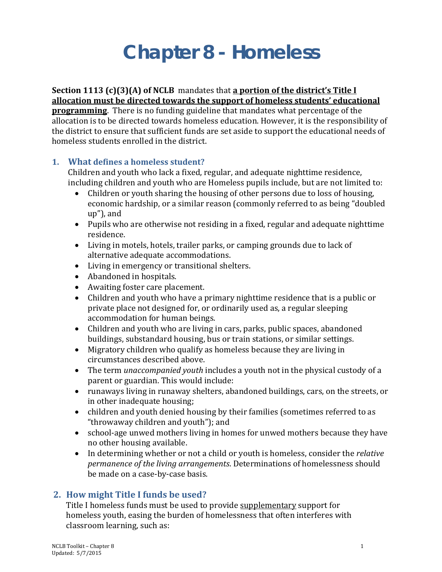# **Chapter 8 - Homeless**

## **Section 1113 (c)(3)(A) of NCLB** mandates that **a portion of the district's Title I allocation must be directed towards the support of homeless students' educational**

**programming**. There is no funding guideline that mandates what percentage of the allocation is to be directed towards homeless education. However, it is the responsibility of the district to ensure that sufficient funds are set aside to support the educational needs of homeless students enrolled in the district.

### **1. What defines a homeless student?**

Children and youth who lack a fixed, regular, and adequate nighttime residence, including children and youth who are Homeless pupils include, but are not limited to:<br>• Children or youth sharing the housing of other persons due to loss of housing.

- Children or youth sharing the housing of other persons due to loss of housing, economic hardship, or a similar reason (commonly referred to as being "doubled up"), and
- Pupils who are otherwise not residing in a fixed, regular and adequate nighttime residence.
- Living in motels, hotels, trailer parks, or camping grounds due to lack of alternative adequate accommodations.
- Living in emergency or transitional shelters.
- Abandoned in hospitals.
- Awaiting foster care placement.
- Children and youth who have a primary nighttime residence that is a public or private place not designed for, or ordinarily used as, a regular sleeping accommodation for human beings.
- Children and youth who are living in cars, parks, public spaces, abandoned buildings, substandard housing, bus or train stations, or similar settings.
- Migratory children who qualify as homeless because they are living in circumstances described above.
- The term *unaccompanied youth* includes a youth not in the physical custody of a parent or guardian. This would include:
- runaways living in runaway shelters, abandoned buildings, cars, on the streets, or in other inadequate housing;
- children and youth denied housing by their families (sometimes referred to as "throwaway children and youth"); and
- school-age unwed mothers living in homes for unwed mothers because they have no other housing available.
- In determining whether or not a child or youth is homeless, consider the *relative permanence of the living arrangements*. Determinations of homelessness should be made on a case-by-case basis.

### **2. How might Title I funds be used?**

Title I homeless funds must be used to provide supplementary support for homeless youth, easing the burden of homelessness that often interferes with classroom learning, such as: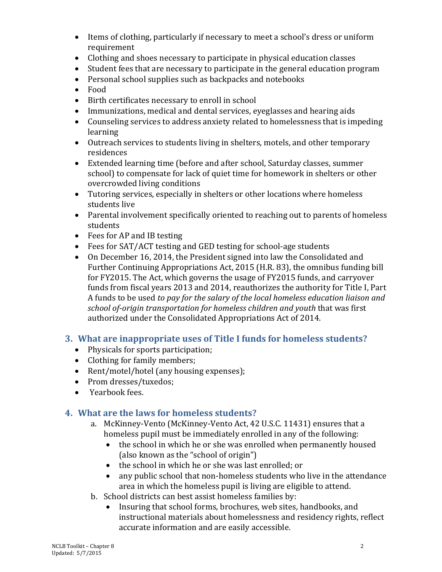- Items of clothing, particularly if necessary to meet a school's dress or uniform requirement
- Clothing and shoes necessary to participate in physical education classes
- Student fees that are necessary to participate in the general education program
- Personal school supplies such as backpacks and notebooks
- Food
- Birth certificates necessary to enroll in school
- Immunizations, medical and dental services, eyeglasses and hearing aids
- Counseling services to address anxiety related to homelessness that is impeding learning
- Outreach services to students living in shelters, motels, and other temporary residences
- Extended learning time (before and after school, Saturday classes, summer school) to compensate for lack of quiet time for homework in shelters or other overcrowded living conditions
- Tutoring services, especially in shelters or other locations where homeless students live
- Parental involvement specifically oriented to reaching out to parents of homeless students
- Fees for AP and IB testing
- Fees for SAT/ACT testing and GED testing for school-age students
- On December 16, 2014, the President signed into law the Consolidated and Further Continuing Appropriations Act, 2015 (H.R. 83), the omnibus funding bill for FY2015. The Act, which governs the usage of FY2015 funds, and carryover funds from fiscal years 2013 and 2014, reauthorizes the authority for Title I, Part A funds to be used *to pay for the salary of the local homeless education liaison and school of-origin transportation for homeless children and youth* that was first authorized under the Consolidated Appropriations Act of 2014.

### **3. What are inappropriate uses of Title I funds for homeless students?**

- Physicals for sports participation;
- Clothing for family members;
- Rent/motel/hotel (any housing expenses);
- Prom dresses/tuxedos;
- Yearbook fees.

### **4. What are the laws for homeless students?**

- a. McKinney-Vento (McKinney-Vento Act, 42 U.S.C. 11431) ensures that a homeless pupil must be immediately enrolled in any of the following:<br>
• the school in which he or she was enrolled when permanently house
	- the school in which he or she was enrolled when permanently housed (also known as the "school of origin")
	- the school in which he or she was last enrolled; or
	- any public school that non-homeless students who live in the attendance area in which the homeless pupil is living are eligible to attend.
- b. School districts can best assist homeless families by:
	- Insuring that school forms, brochures, web sites, handbooks, and instructional materials about homelessness and residency rights, reflect accurate information and are easily accessible.